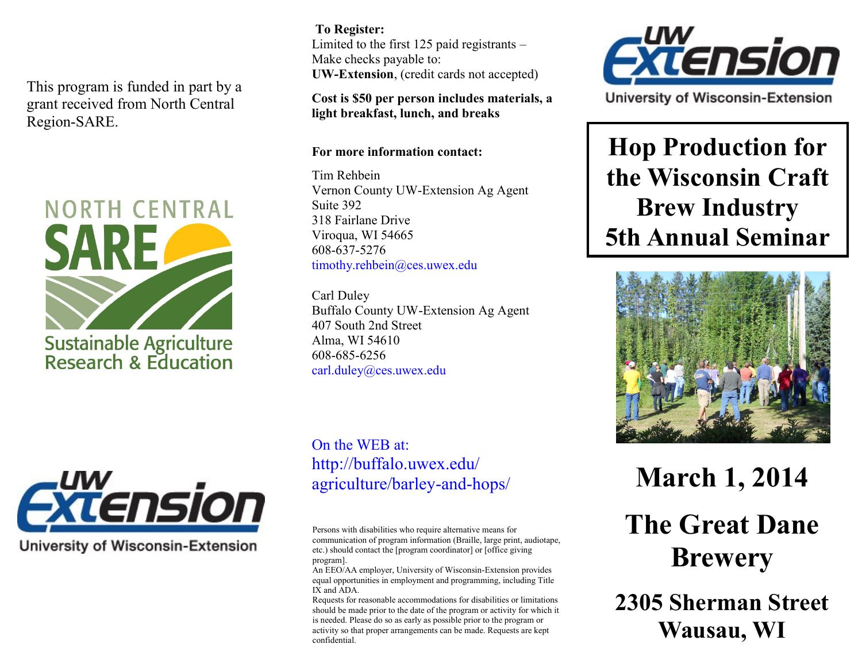This program is funded in part by a grant received from North Central Region-SARE.





**University of Wisconsin-Extension** 

**To Register:**  Limited to the first 125 paid registrants – Make checks payable to: **UW-Extension**, (credit cards not accepted)

**Cost is \$50 per person includes materials, a light breakfast, lunch, and breaks**

## **For more information contact:**

Tim Rehbein Vernon County UW-Extension Ag Agent Suite 392 318 Fairlane Drive Viroqua, WI 54665 608-637-5276 timothy.rehbein@ces.uwex.edu

Carl Duley Buffalo County UW-Extension Ag Agent 407 South 2nd Street Alma, WI 54610 608-685-6256 carl.duley@ces.uwex.edu

On the WEB at: http://buffalo.uwex.edu/ agriculture/barley-and-hops/

Persons with disabilities who require alternative means for communication of program information (Braille, large print, audiotape, etc.) should contact the [program coordinator] or [office giving program].

An EEO/AA employer, University of Wisconsin-Extension provides equal opportunities in employment and programming, including Title IX and ADA.

Requests for reasonable accommodations for disabilities or limitations should be made prior to the date of the program or activity for which it is needed. Please do so as early as possible prior to the program or activity so that proper arrangements can be made. Requests are kept confidential.



University of Wisconsin-Extension

**Hop Production for the Wisconsin Craft Brew Industry 5th Annual Seminar**



**March 1, 2014 The Great Dane Brewery** 

**2305 Sherman Street Wausau, WI**